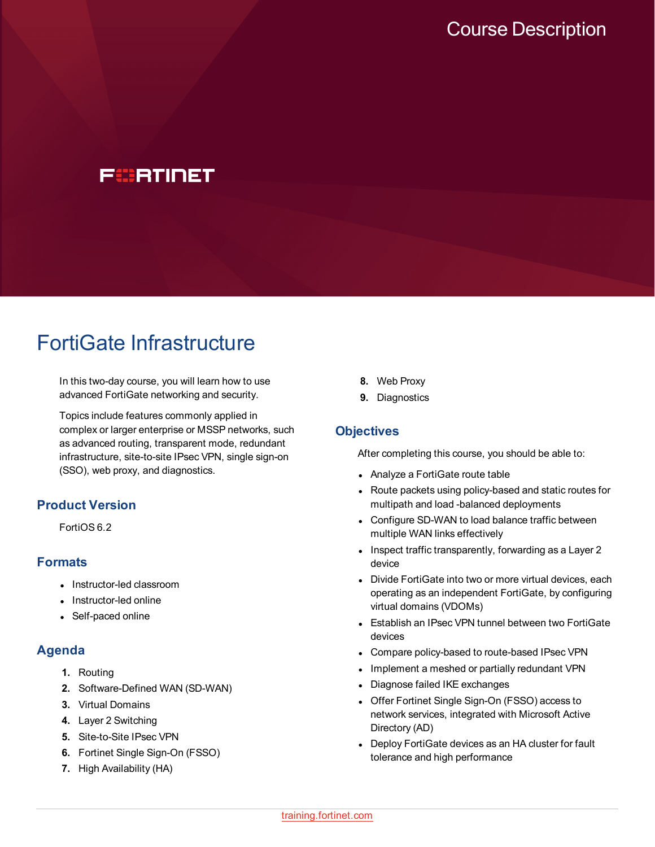# FCBRTINET

# FortiGate Infrastructure

In this two-day course, you will learn how to use advanced FortiGate networking and security.

Topics include features commonly applied in complex or larger enterprise or MSSP networks, such as advanced routing, transparent mode, redundant infrastructure, site-to-site IPsec VPN, single sign-on (SSO), web proxy, and diagnostics.

# **Product Version**

FortiOS 6.2

## **Formats**

- Instructor-led classroom
- Instructor-led online
- Self-paced online

## **Agenda**

- **1.** Routing
- **2.** Software-Defined WAN (SD-WAN)
- **3.** Virtual Domains
- **4.** Layer 2 Switching
- **5.** Site-to-Site IPsec VPN
- **6.** Fortinet Single Sign-On (FSSO)
- **7.** High Availability (HA)
- **8.** Web Proxy
- **9.** Diagnostics

#### **Objectives**

After completing this course, you should be able to:

- Analyze a FortiGate route table
- Route packets using policy-based and static routes for multipath and load -balanced deployments
- Configure SD-WAN to load balance traffic between multiple WAN links effectively
- $\bullet$  Inspect traffic transparently, forwarding as a Layer 2 device
- Divide FortiGate into two or more virtual devices, each operating as an independent FortiGate, by configuring virtual domains (VDOMs)
- Establish an IPsec VPN tunnel between two FortiGate devices
- Compare policy-based to route-based IPsec VPN
- Implement a meshed or partially redundant VPN
- Diagnose failed IKE exchanges
- Offer Fortinet Single Sign-On (FSSO) access to network services, integrated with Microsoft Active Directory (AD)
- Deploy FortiGate devices as an HA cluster for fault tolerance and high performance